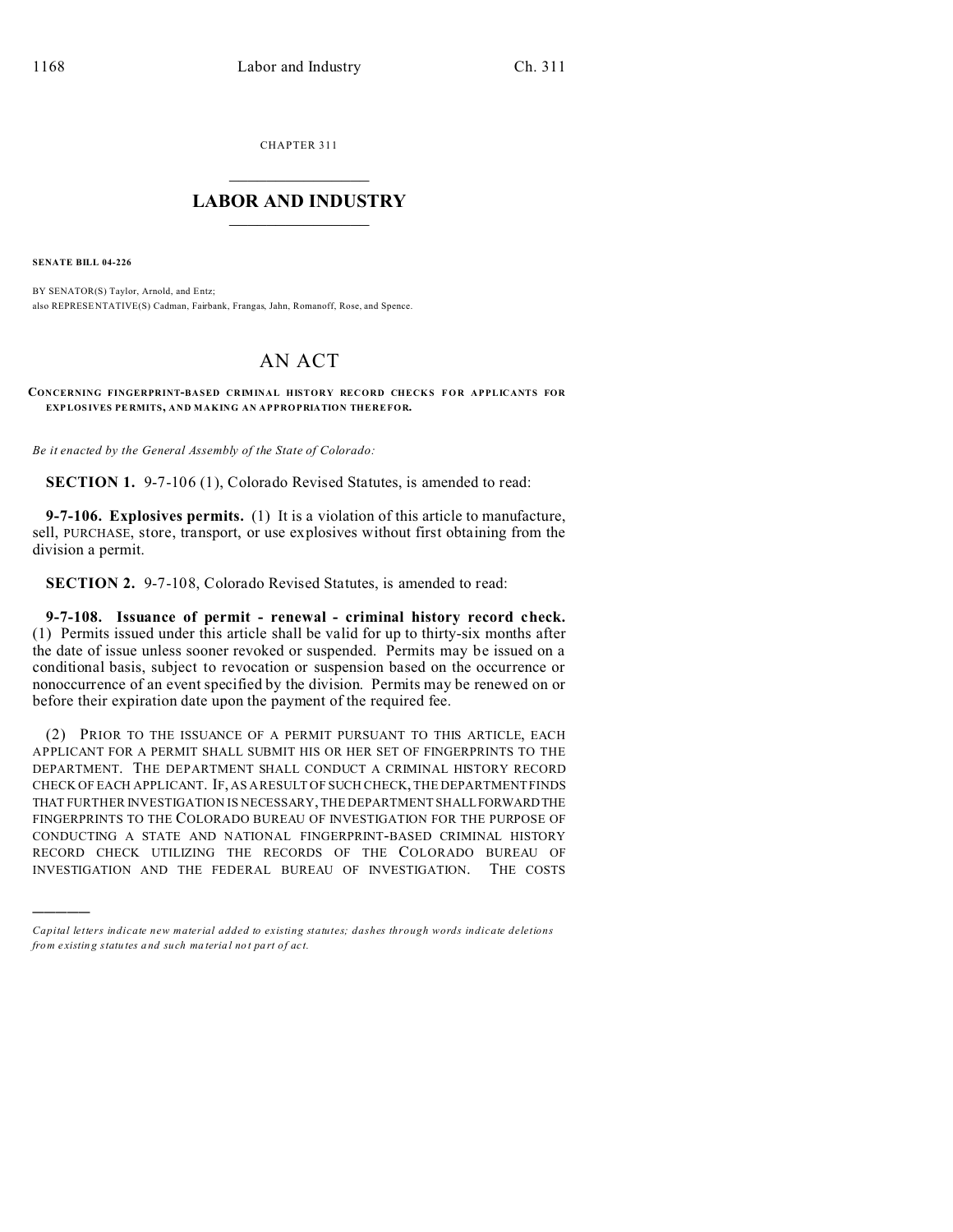CHAPTER 311  $\overline{\phantom{a}}$  , where  $\overline{\phantom{a}}$ 

## **LABOR AND INDUSTRY**  $\frac{1}{\sqrt{2}}$  ,  $\frac{1}{\sqrt{2}}$  ,  $\frac{1}{\sqrt{2}}$  ,  $\frac{1}{\sqrt{2}}$  ,  $\frac{1}{\sqrt{2}}$  ,  $\frac{1}{\sqrt{2}}$

**SENATE BILL 04-226**

)))))

BY SENATOR(S) Taylor, Arnold, and Entz; also REPRESE NTATIVE(S) Cadman, Fairbank, Frangas, Jahn, Romanoff, Rose, and Spence.

## AN ACT

**CONCERNING FINGERPRINT-BASED CRIMINAL HISTORY RECORD CHECKS FOR APPLICANTS FOR EXPLOS IVES PE RMITS, AND MAKING AN APPROPRIATION THEREFOR.**

*Be it enacted by the General Assembly of the State of Colorado:*

**SECTION 1.** 9-7-106 (1), Colorado Revised Statutes, is amended to read:

**9-7-106. Explosives permits.** (1) It is a violation of this article to manufacture, sell, PURCHASE, store, transport, or use explosives without first obtaining from the division a permit.

**SECTION 2.** 9-7-108, Colorado Revised Statutes, is amended to read:

**9-7-108. Issuance of permit - renewal - criminal history record check.** (1) Permits issued under this article shall be valid for up to thirty-six months after the date of issue unless sooner revoked or suspended. Permits may be issued on a conditional basis, subject to revocation or suspension based on the occurrence or nonoccurrence of an event specified by the division. Permits may be renewed on or before their expiration date upon the payment of the required fee.

(2) PRIOR TO THE ISSUANCE OF A PERMIT PURSUANT TO THIS ARTICLE, EACH APPLICANT FOR A PERMIT SHALL SUBMIT HIS OR HER SET OF FINGERPRINTS TO THE DEPARTMENT. THE DEPARTMENT SHALL CONDUCT A CRIMINAL HISTORY RECORD CHECK OF EACH APPLICANT. IF, AS A RESULT OF SUCH CHECK, THE DEPARTMENT FINDS THAT FURTHER INVESTIGATION IS NECESSARY, THE DEPARTMENT SHALLFORWARDTHE FINGERPRINTS TO THE COLORADO BUREAU OF INVESTIGATION FOR THE PURPOSE OF CONDUCTING A STATE AND NATIONAL FINGERPRINT-BASED CRIMINAL HISTORY RECORD CHECK UTILIZING THE RECORDS OF THE COLORADO BUREAU OF INVESTIGATION AND THE FEDERAL BUREAU OF INVESTIGATION. THE COSTS

*Capital letters indicate new material added to existing statutes; dashes through words indicate deletions from e xistin g statu tes a nd such ma teria l no t pa rt of ac t.*